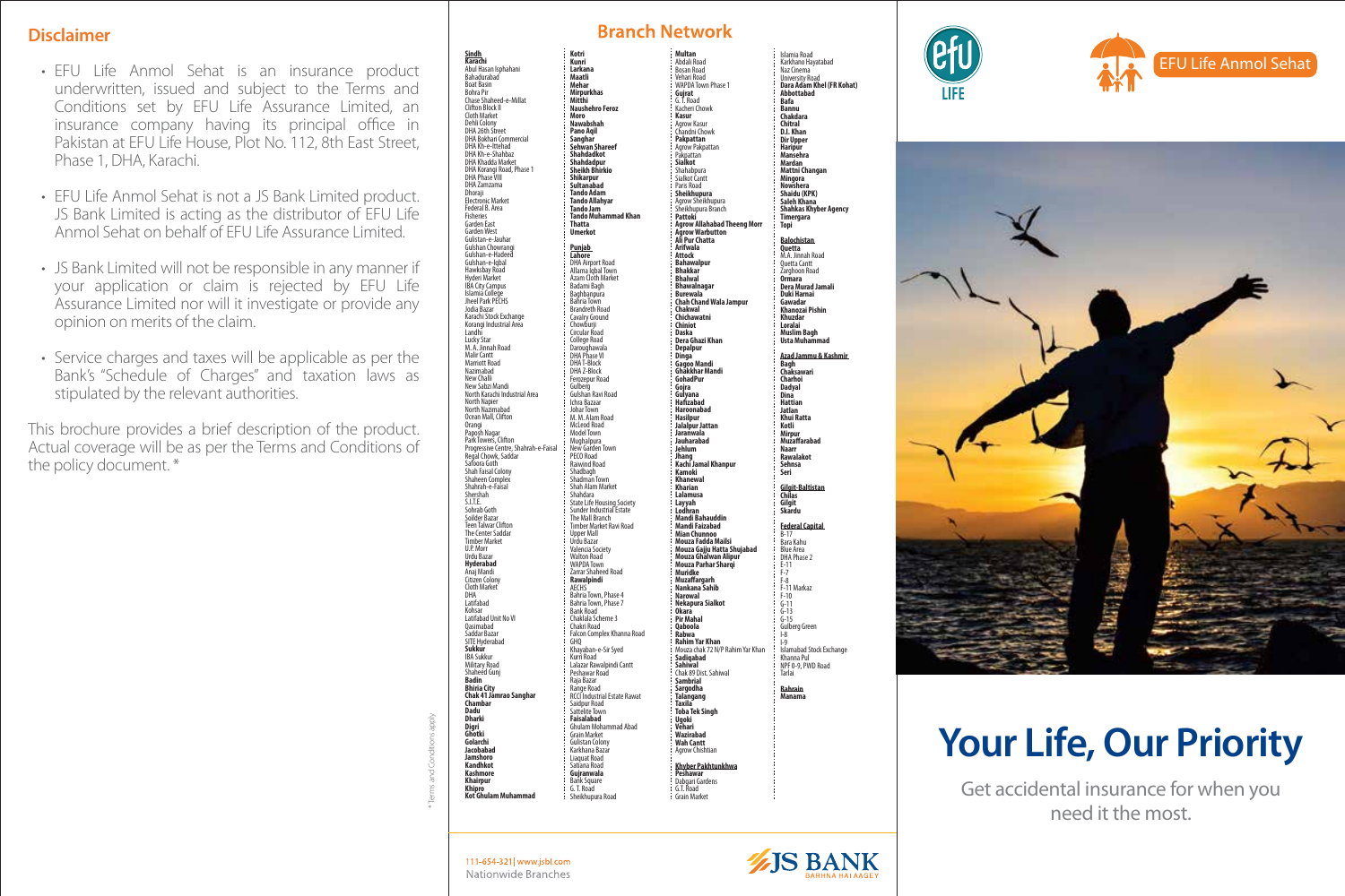#### **Disclaimer**

- EFU Life Anmol Sehat is an insurance product underwritten, issued and subject to the Terms and Conditions set by EFU Life Assurance Limited, an insurance company having its principal office in Pakistan at EFU Life House, Plot No. 112, 8th East Street, Phase 1, DHA, Karachi.
- EFU Life Anmol Sehat is not a JS Bank Limited product. JS Bank Limited is acting as the distributor of EFU Life Anmol Sehat on behalf of EFU Life Assurance Limited.
- JS Bank Limited will not be responsible in any manner if your application or claim is rejected by EFU Life Assurance Limited nor will it investigate or provide any opinion on merits of the claim.
- Service charges and taxes will be applicable as per the Bank's "Schedule of Charges" and taxation laws as stipulated by the relevant authorities.

This brochure provides a brief description of the product. Actual coverage will be as per the Terms and Conditions of the policy document. \*

**Karachi** Abul Hasan Isphahani Bahadurabad Boat Basin Bohra Pir Chase Shaheed-e-Millat Clifton Block II Cloth Market Dehli Colony DHA 26th Street DHA Bokhari Commercial DHA Kh-e-Ittehad DHA Kh-e-Shahbaz DHA Khadda Market DHA Korangi Road, Phase 1 DHA Phase VIII DHA Zamzama Dhoraji Electrónic Market<br>Federal B. Area Fisheries Garden East Garden West Gulistan-e-Jauhar Gulshan Chowran Guisnan Chowrang<br>Gulshan-e-Hadeed Gulshan-e-Iqbal Hawksbay Road Hyderi Market IBA City Campus Islamia College Jheel Park PECHS Jodia Bazar Karachi Stock Exchange Korangi Industrial Area Landhi Lucky Star M. A. Jinnah Road Malir Cantt Marriott Road Nazimabad New Challi New Sabzi Mandi North Karachi Industrial Area North Napier North Nazimabad Ocean Mall, Clifton Orangi Paposh Nagar Park Towers, Clifton Progressive Centre, Shahrah-e-Faisal Regal Chowk, Saddar Safoora Goth Shah Faisal Colony Shaheen Complex Shahrah-e-Faisal Shershah SITE<sup>.</sup> Sohrab Goth Soilder Bazar Teen Talwar Clifton The Center Saddar Timber Market U.P. Morr Urdu Bazar **Hyderabad** Anaj Mandi Citizen Colony Cloth Market DHA Latifabad Kohsar Latifabad Unit No VI Qasimabad Saddar Bazar SITE Hyderabad **Sukkur** IBA Sukkur Military Road Shaheed Gunj **Badin Bhiria City Chak 41 Jamrao Sanghar Chambar Dadu Dharki Digri Ghotki Golarchi Jacobabad Jamshoro Kandhkot Kashmore Khairpur Khipro Kot Ghulam Muhammad Kotri Kunri Larkana Maatli Mehar Mirpurkhas Mitthi Naushehro Feroz Moro Nawabshah Pano Aqil Sanghar Sehwan Shareef Shahdadkot Shahdadpur Sheikh Bhirkio Shikarpur Sultanabad Tando Adam Tando Allahyar Tando Jam Tando Muhammad Khan Thatta Umerkot Punjab Lahore** DHA Airport Road Allama Iqbal Town Azam Cloth Market Badami Bagh Baghbanpura Bahria Town Brandreth Road Cavalry Ground Chowburji Circular Road College Road Daroughawala<br>DHA Phase VI DHA T-Block DHA Z-Block Ferozepur Road Gulberg Gulshan Ravi Road Ichra Bazaar Johar Town M. M. Alam Road McLeod Road Model Town Mughalpura New Garden Town PECO Road Raiwind Road Shadbagh Shadman Town Shah Alam Market Shahdara State Life Housing Society Sunder Industrial Estate<br>Sunder Industrial Estate The Mall Branch Timber Market Ravi Road Upper Mall Urdu Bazar Valencia Society Walton Road WAPDA Town Zarrar Shaheed Road **Rawalpindi** AECHS Bahria Town, Phase 4 Bahria Town, Phase 7 Bank Road Chaklala Scheme 3 Chakri Road Falcon Complex Khanna Road GHQ Khayaban-e-Sir Syed Kurri Road Lalazar Rawalpindi Cantt Peshawar Road Raja Bazar Range Road RCCI Industrial Estate Rawat Saidpur Road Sattelite Town **Faisalabad** Ghulam Mohammad Abad Grain Market Gulistan Colony Karkhana Bazar Liaquat Road Satiana Road **Gujranwala** Bank Square G. T. Road Sheikhupura Road

| Multan                                                                                      | Islamia Road                                        |
|---------------------------------------------------------------------------------------------|-----------------------------------------------------|
| Abdali Road                                                                                 | Karkhano Hayatabad                                  |
| Bosan Road                                                                                  | Naz Cinema                                          |
| Vehari Road<br>WAPDA Town Phase 1                                                           | <b>University Road</b><br>Dara Adam Khel (FR Kohat) |
| Gujrat                                                                                      | <b>Abbottabad</b>                                   |
| G. Ť. Road                                                                                  | <b>Bafa</b>                                         |
| Kacheri Chowk<br>Kasur                                                                      | <b>Bannu</b>                                        |
| Agrow Kasur                                                                                 | Chakdara                                            |
| Chandni Chowk                                                                               | Chitral<br>D.I. Khan                                |
| Pakpattan                                                                                   | <b>Dir Upper</b>                                    |
| Agrow Pakpattan                                                                             | Haripur                                             |
| ngiow ranpa<br>Pakpattan<br><b>Sialkot</b><br>Shahabpura                                    | <b>Mansehra</b>                                     |
|                                                                                             | Mardan                                              |
|                                                                                             | Mattni Changan                                      |
| Paris Road                                                                                  | Mingora<br>Nowshera                                 |
|                                                                                             | Shaidu (KPK)                                        |
|                                                                                             | Saleh Khana                                         |
| rans waa<br><b>Sheikhupura</b><br>Agrow Sheikhupura<br>Sheikhupura Branch                   | Shahkas Khyber Agency<br>Timergara                  |
| .<br>Pattoki                                                                                |                                                     |
|                                                                                             | <b>Topi</b>                                         |
| r accon<br>Agrow Allahabad Theeng Morr<br>Ali Pur Chatta<br>Ali Pur Chatta                  | <b>Balochistan</b>                                  |
| Arifwala                                                                                    | Quetta                                              |
| Attock                                                                                      | M.A. Jinnah Road                                    |
| <b>Bahawalpur</b>                                                                           | <b>Ouetta Cantt</b>                                 |
| <b>Bhakkar</b><br><b>Bhalwal</b>                                                            | Zarghoon Road                                       |
| <b>Bhawalnagar</b>                                                                          | Ormara<br>Dera Murad Jamali                         |
|                                                                                             | <b>Duki Harnai</b>                                  |
| Burewala<br>Chah Chand Wala Jampur                                                          | Gawadar                                             |
| Chakwal                                                                                     | <b>Khanozai Pishin</b>                              |
| Chichawatni                                                                                 | Khuzdar                                             |
| Chiniot<br>Daska                                                                            | Loralai                                             |
| Dera Ghazi Khan                                                                             | Muslim Bagh<br>Usta Muhammad                        |
| bera ena<br>Depalpur<br>Dinga                                                               |                                                     |
|                                                                                             | Azad Jammu & Kashmir                                |
| -<br>Gagoo Mandi<br>Ghakkhar Mandi                                                          | Bagh<br>Chaksawari                                  |
|                                                                                             |                                                     |
| GohadPur<br>Gojra                                                                           | Charhoi<br><b>Dadyal</b>                            |
| Gulyana                                                                                     | Dina                                                |
| Hafizabad                                                                                   | <b>Hattian</b>                                      |
| Haroonabad                                                                                  | Jatlan                                              |
| Hasilpur                                                                                    | Khui Ratta                                          |
| Jalalpur Jattan<br>Jaranwala                                                                | Kotli<br>Mirpur                                     |
| Jauharabad                                                                                  | Muzaffarabad                                        |
| Jehlum                                                                                      | <b>Naarr</b>                                        |
| .<br>Jhang<br>Kachi Jamal Khanpur                                                           | Rawalakot                                           |
|                                                                                             | Sehnsa                                              |
| Kamoki<br><br>Khanewal                                                                      | Seri                                                |
| Kharian                                                                                     |                                                     |
| Lalamusa                                                                                    | Gilgit-Baltistan<br>Chilas                          |
| Layyah<br>Lodhran                                                                           | Gilgit                                              |
|                                                                                             | Skardu                                              |
| -<br>Mandi Bahauddin<br>Mandi Faizabad                                                      |                                                     |
| Mian Chunnoo                                                                                | <b>Federal Capital</b><br>$B-17$                    |
| Mouza Fadda Mailsi                                                                          | Bara Kahu                                           |
|                                                                                             | Blue Area<br>DHA Phase 2                            |
| mouza Gajju Hatta Shujabad<br>Mouza Gajju Hatta Shujabad<br>Mouza Ghalwan Alipur<br>Muridke |                                                     |
|                                                                                             | $E-11$<br>F-7                                       |
|                                                                                             | $F-8$                                               |
| <br>Muzaffargarh<br>Nankana Sahib                                                           | F-11 Markaz                                         |
| Narowal                                                                                     | $F-10$                                              |
| Nekapura Sialkot                                                                            | $G-11$                                              |
| Okara                                                                                       | $G-13$                                              |
| Pir Mahal<br>Qaboola                                                                        | $G-15$                                              |
| Rabwa                                                                                       | <b>Gulberg Green</b><br>L8                          |
| <b></b><br><b>Rahim Yar Khan</b><br>Mouza chak 72 N/P Rahim Yar Khan                        | $\frac{1}{2}$                                       |
|                                                                                             | Islamabad Stock Exchange                            |
| <br>Sadiqabad                                                                               | Khanna Pul<br>NPF 0-9, PWD Road                     |
| sauqabad<br>Sahiwal<br>Chak 89 Dist. Sahiwal<br><mark>Sargodha</mark>                       |                                                     |
|                                                                                             | Tarlai                                              |
|                                                                                             | <b>Bahrain</b>                                      |
| Talangang                                                                                   | Manama                                              |
| Taxila                                                                                      |                                                     |
| <b>Toba Tek Singh</b>                                                                       |                                                     |
| Ugoki                                                                                       |                                                     |
| ugu<br>Vehari<br>Wah Cantt<br>Wah Cantt                                                     |                                                     |
|                                                                                             |                                                     |
| Agrow Chishtian                                                                             |                                                     |
|                                                                                             |                                                     |
| Khyber Pakhtunkhwa                                                                          |                                                     |
| Peshawar                                                                                    |                                                     |
| Dabgari Gardens<br>G.T. Road                                                                |                                                     |
|                                                                                             |                                                     |

**Branch Network** 

Grain Market







# **Your Life, Our Priority**

Get accidental insurance for when you need it the most.

\* Terms and Conditions apply

111-654-321 | www.jsbl.com Nationwide Branches

# **IS BANK**